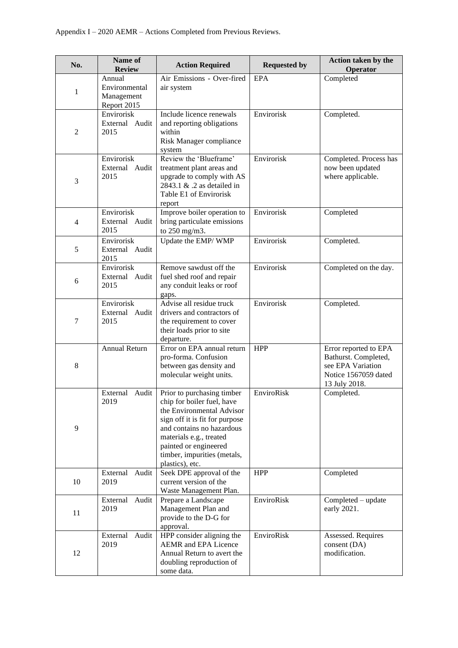| No.            | Name of<br><b>Review</b>                             | <b>Action Required</b>                                                                                                                                                                                                                                     | <b>Requested by</b> | Action taken by the<br>Operator                                                                             |
|----------------|------------------------------------------------------|------------------------------------------------------------------------------------------------------------------------------------------------------------------------------------------------------------------------------------------------------------|---------------------|-------------------------------------------------------------------------------------------------------------|
| 1              | Annual<br>Environmental<br>Management<br>Report 2015 | Air Emissions - Over-fired<br>air system                                                                                                                                                                                                                   | EPA                 | Completed                                                                                                   |
| $\overline{2}$ | Envirorisk<br>External Audit<br>2015                 | Include licence renewals<br>and reporting obligations<br>within<br>Risk Manager compliance<br>system                                                                                                                                                       | Envirorisk          | Completed.                                                                                                  |
| 3              | Envirorisk<br>External<br>Audit<br>2015              | Review the 'Blueframe'<br>treatment plant areas and<br>upgrade to comply with AS<br>2843.1 & .2 as detailed in<br>Table E1 of Envirorisk<br>report                                                                                                         | Envirorisk          | Completed. Process has<br>now been updated<br>where applicable.                                             |
| $\overline{4}$ | Envirorisk<br>External<br>Audit<br>2015              | Improve boiler operation to<br>bring particulate emissions<br>to 250 mg/m3.                                                                                                                                                                                | Envirorisk          | Completed                                                                                                   |
| 5              | Envirorisk<br>External Audit<br>2015                 | Update the EMP/WMP                                                                                                                                                                                                                                         | Envirorisk          | Completed.                                                                                                  |
| 6              | Envirorisk<br>External Audit<br>2015                 | Remove sawdust off the<br>fuel shed roof and repair<br>any conduit leaks or roof<br>gaps.                                                                                                                                                                  | Envirorisk          | Completed on the day.                                                                                       |
| 7              | Envirorisk<br>External Audit<br>2015                 | Advise all residue truck<br>drivers and contractors of<br>the requirement to cover<br>their loads prior to site<br>departure.                                                                                                                              | Envirorisk          | Completed.                                                                                                  |
| 8              | <b>Annual Return</b>                                 | Error on EPA annual return<br>pro-forma. Confusion<br>between gas density and<br>molecular weight units.                                                                                                                                                   | <b>HPP</b>          | Error reported to EPA<br>Bathurst. Completed,<br>see EPA Variation<br>Notice 1567059 dated<br>13 July 2018. |
| 9              | External Audit<br>2019                               | Prior to purchasing timber<br>chip for boiler fuel, have<br>the Environmental Advisor<br>sign off it is fit for purpose<br>and contains no hazardous<br>materials e.g., treated<br>painted or engineered<br>timber, impurities (metals,<br>plastics), etc. | EnviroRisk          | Completed.                                                                                                  |
| 10             | External<br>Audit<br>2019                            | Seek DPE approval of the<br>current version of the<br>Waste Management Plan.                                                                                                                                                                               | <b>HPP</b>          | Completed                                                                                                   |
| 11             | External<br>Audit<br>2019                            | Prepare a Landscape<br>Management Plan and<br>provide to the D-G for<br>approval.                                                                                                                                                                          | EnviroRisk          | Completed - update<br>early 2021.                                                                           |
| 12             | External<br>Audit<br>2019                            | HPP consider aligning the<br><b>AEMR</b> and EPA Licence<br>Annual Return to avert the<br>doubling reproduction of<br>some data.                                                                                                                           | EnviroRisk          | Assessed. Requires<br>consent (DA)<br>modification.                                                         |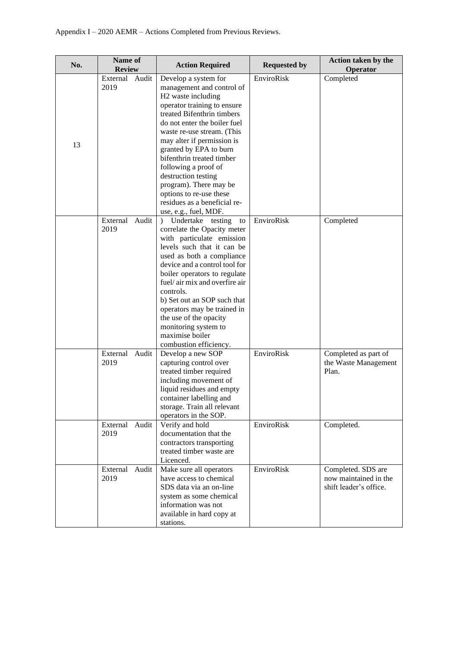| No. | Name of<br><b>Review</b> |       | <b>Action Required</b>                                                                                                                                                                                                                                                                                                                                                                                                                                           | <b>Requested by</b> | Action taken by the<br>Operator                                       |
|-----|--------------------------|-------|------------------------------------------------------------------------------------------------------------------------------------------------------------------------------------------------------------------------------------------------------------------------------------------------------------------------------------------------------------------------------------------------------------------------------------------------------------------|---------------------|-----------------------------------------------------------------------|
| 13  | External<br>2019         | Audit | Develop a system for<br>management and control of<br>H <sub>2</sub> waste including<br>operator training to ensure<br>treated Bifenthrin timbers<br>do not enter the boiler fuel<br>waste re-use stream. (This<br>may alter if permission is<br>granted by EPA to burn<br>bifenthrin treated timber<br>following a proof of<br>destruction testing<br>program). There may be<br>options to re-use these<br>residues as a beneficial re-<br>use, e.g., fuel, MDF. | EnviroRisk          | Completed                                                             |
|     | External<br>2019         | Audit | Undertake<br>testing<br>$\mathcal{L}$<br>to<br>correlate the Opacity meter<br>with particulate emission<br>levels such that it can be<br>used as both a compliance<br>device and a control tool for<br>boiler operators to regulate<br>fuel/air mix and overfire air<br>controls.<br>b) Set out an SOP such that<br>operators may be trained in<br>the use of the opacity<br>monitoring system to<br>maximise boiler<br>combustion efficiency.                   | EnviroRisk          | Completed                                                             |
|     | External<br>2019         | Audit | Develop a new SOP<br>capturing control over<br>treated timber required<br>including movement of<br>liquid residues and empty<br>container labelling and<br>storage. Train all relevant<br>operators in the SOP.                                                                                                                                                                                                                                                  | EnviroRisk          | Completed as part of<br>the Waste Management<br>Plan.                 |
|     | External<br>2019         | Audit | Verify and hold<br>documentation that the<br>contractors transporting<br>treated timber waste are<br>Licenced.                                                                                                                                                                                                                                                                                                                                                   | EnviroRisk          | Completed.                                                            |
|     | External<br>2019         | Audit | Make sure all operators<br>have access to chemical<br>SDS data via an on-line<br>system as some chemical<br>information was not<br>available in hard copy at<br>stations.                                                                                                                                                                                                                                                                                        | EnviroRisk          | Completed. SDS are<br>now maintained in the<br>shift leader's office. |